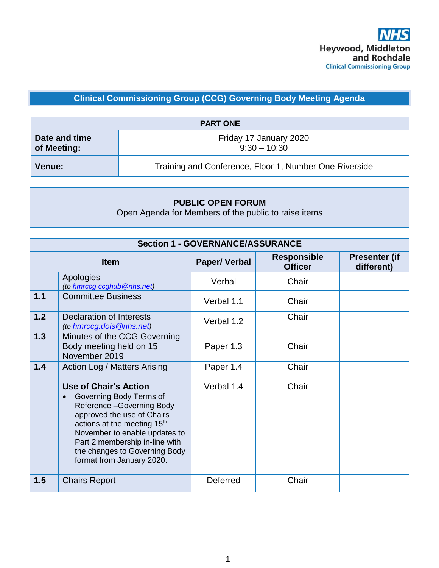## **Clinical Commissioning Group (CCG) Governing Body Meeting Agenda**

| <b>PART ONE</b>              |                                                        |  |
|------------------------------|--------------------------------------------------------|--|
| Date and time<br>of Meeting: | Friday 17 January 2020<br>$9:30 - 10:30$               |  |
| <b>Venue:</b>                | Training and Conference, Floor 1, Number One Riverside |  |

## **PUBLIC OPEN FORUM**

Open Agenda for Members of the public to raise items

| <b>Section 1 - GOVERNANCE/ASSURANCE</b> |                                                                                                                                                                                                                                                                                               |                     |                                      |                                    |
|-----------------------------------------|-----------------------------------------------------------------------------------------------------------------------------------------------------------------------------------------------------------------------------------------------------------------------------------------------|---------------------|--------------------------------------|------------------------------------|
|                                         | <b>Item</b>                                                                                                                                                                                                                                                                                   | <b>Paper/Verbal</b> | <b>Responsible</b><br><b>Officer</b> | <b>Presenter (if</b><br>different) |
|                                         | Apologies<br>(to hmrccg.ccghub@nhs.net)                                                                                                                                                                                                                                                       | Verbal              | Chair                                |                                    |
| 1.1                                     | <b>Committee Business</b>                                                                                                                                                                                                                                                                     | Verbal 1.1          | Chair                                |                                    |
| 1.2                                     | Declaration of Interests<br>(to hmrccg.dois@nhs.net)                                                                                                                                                                                                                                          | Verbal 1.2          | Chair                                |                                    |
| 1.3                                     | Minutes of the CCG Governing<br>Body meeting held on 15<br>November 2019                                                                                                                                                                                                                      | Paper 1.3           | Chair                                |                                    |
| 1.4                                     | Action Log / Matters Arising                                                                                                                                                                                                                                                                  | Paper 1.4           | Chair                                |                                    |
|                                         | <b>Use of Chair's Action</b><br>Governing Body Terms of<br>Reference-Governing Body<br>approved the use of Chairs<br>actions at the meeting 15 <sup>th</sup><br>November to enable updates to<br>Part 2 membership in-line with<br>the changes to Governing Body<br>format from January 2020. | Verbal 1.4          | Chair                                |                                    |
| 1.5                                     | <b>Chairs Report</b>                                                                                                                                                                                                                                                                          | Deferred            | Chair                                |                                    |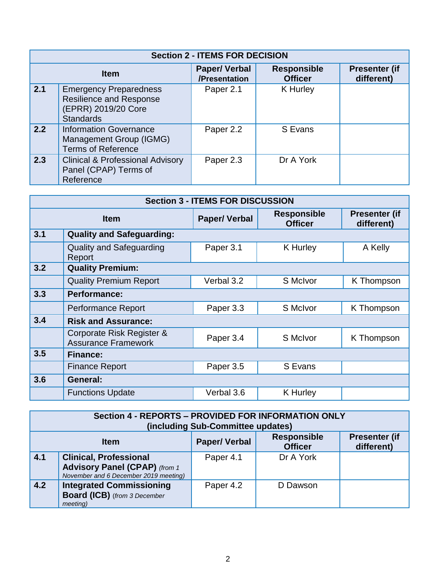| <b>Section 2 - ITEMS FOR DECISION</b> |                                                                                                            |                                      |                                      |                                    |
|---------------------------------------|------------------------------------------------------------------------------------------------------------|--------------------------------------|--------------------------------------|------------------------------------|
| <b>Item</b>                           |                                                                                                            | <b>Paper/Verbal</b><br>/Presentation | <b>Responsible</b><br><b>Officer</b> | <b>Presenter (if</b><br>different) |
| $\sqrt{2.1}$                          | <b>Emergency Preparedness</b><br><b>Resilience and Response</b><br>(EPRR) 2019/20 Core<br><b>Standards</b> | Paper 2.1                            | K Hurley                             |                                    |
| 2.2                                   | <b>Information Governance</b><br>Management Group (IGMG)<br><b>Terms of Reference</b>                      | Paper 2.2                            | S Evans                              |                                    |
| 2.3                                   | <b>Clinical &amp; Professional Advisory</b><br>Panel (CPAP) Terms of<br>Reference                          | Paper 2.3                            | Dr A York                            |                                    |

| <b>Section 3 - ITEMS FOR DISCUSSION</b> |                                                         |                     |                                      |                                    |
|-----------------------------------------|---------------------------------------------------------|---------------------|--------------------------------------|------------------------------------|
|                                         | <b>Item</b>                                             | <b>Paper/Verbal</b> | <b>Responsible</b><br><b>Officer</b> | <b>Presenter (if</b><br>different) |
| 3.1                                     | <b>Quality and Safeguarding:</b>                        |                     |                                      |                                    |
|                                         | <b>Quality and Safeguarding</b><br>Report               | Paper 3.1           | <b>K</b> Hurley                      | A Kelly                            |
| 3.2                                     | <b>Quality Premium:</b>                                 |                     |                                      |                                    |
|                                         | <b>Quality Premium Report</b>                           | Verbal 3.2          | S McIvor                             | K Thompson                         |
| 3.3                                     | <b>Performance:</b>                                     |                     |                                      |                                    |
|                                         | Performance Report                                      | Paper 3.3           | S McIvor                             | K Thompson                         |
| 3.4                                     | <b>Risk and Assurance:</b>                              |                     |                                      |                                    |
|                                         | Corporate Risk Register &<br><b>Assurance Framework</b> | Paper 3.4           | S McIvor                             | K Thompson                         |
| 3.5                                     | <b>Finance:</b>                                         |                     |                                      |                                    |
|                                         | <b>Finance Report</b>                                   | Paper 3.5           | S Evans                              |                                    |
| 3.6                                     | General:                                                |                     |                                      |                                    |
|                                         | <b>Functions Update</b>                                 | Verbal 3.6          | <b>K</b> Hurley                      |                                    |

| Section 4 - REPORTS - PROVIDED FOR INFORMATION ONLY<br>(including Sub-Committee updates) |                                                                                                                |           |           |                      |
|------------------------------------------------------------------------------------------|----------------------------------------------------------------------------------------------------------------|-----------|-----------|----------------------|
|                                                                                          | <b>Responsible</b><br><b>Paper/Verbal</b><br><b>Item</b><br>different)<br><b>Officer</b>                       |           |           | <b>Presenter (if</b> |
| $4.1$                                                                                    | <b>Clinical, Professional</b><br><b>Advisory Panel (CPAP)</b> (from 1<br>November and 6 December 2019 meeting) | Paper 4.1 | Dr A York |                      |
| 4.2                                                                                      | <b>Integrated Commissioning</b><br><b>Board (ICB)</b> (from 3 December<br>meeting)                             | Paper 4.2 | D Dawson  |                      |